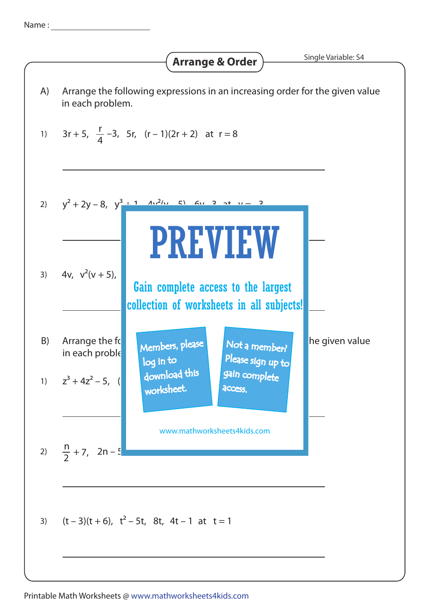